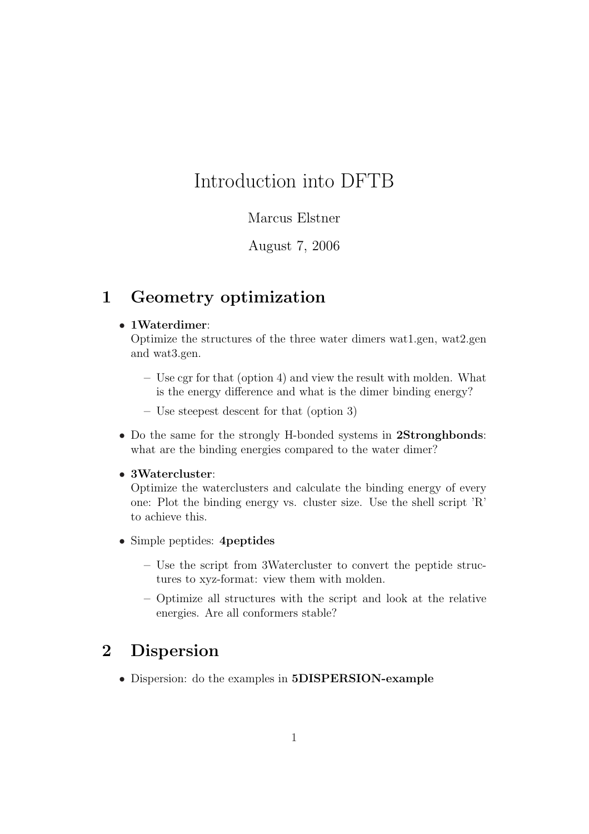# Introduction into DFTB

### Marcus Elstner

August 7, 2006

## 1 Geometry optimization

#### • 1Waterdimer:

Optimize the structures of the three water dimers wat1.gen, wat2.gen and wat3.gen.

- Use cgr for that (option 4) and view the result with molden. What is the energy difference and what is the dimer binding energy?
- Use steepest descent for that (option 3)
- Do the same for the strongly H-bonded systems in 2Stronghbonds: what are the binding energies compared to the water dimer?

#### • 3Watercluster:

Optimize the waterclusters and calculate the binding energy of every one: Plot the binding energy vs. cluster size. Use the shell script 'R' to achieve this.

- Simple peptides: 4*peptides* 
	- Use the script from 3Watercluster to convert the peptide structures to xyz-format: view them with molden.
	- Optimize all structures with the script and look at the relative energies. Are all conformers stable?

## 2 Dispersion

• Dispersion: do the examples in 5DISPERSION-example